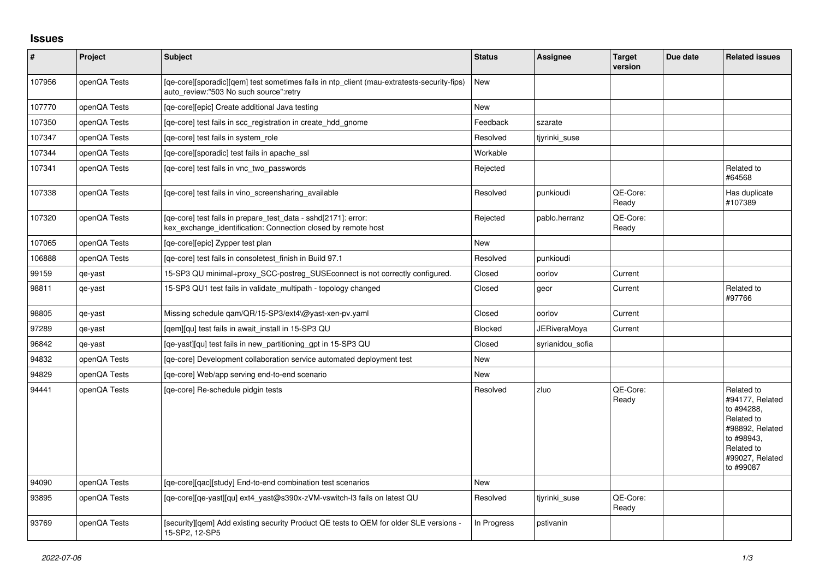## **Issues**

| $\vert$ # | Project      | <b>Subject</b>                                                                                                                       | <b>Status</b>  | <b>Assignee</b>     | <b>Target</b><br>version | Due date | <b>Related issues</b>                                                                                                                    |
|-----------|--------------|--------------------------------------------------------------------------------------------------------------------------------------|----------------|---------------------|--------------------------|----------|------------------------------------------------------------------------------------------------------------------------------------------|
| 107956    | openQA Tests | [qe-core][sporadic][qem] test sometimes fails in ntp_client (mau-extratests-security-fips)<br>auto review:"503 No such source":retry | <b>New</b>     |                     |                          |          |                                                                                                                                          |
| 107770    | openQA Tests | [ge-core][epic] Create additional Java testing                                                                                       | <b>New</b>     |                     |                          |          |                                                                                                                                          |
| 107350    | openQA Tests | [ge-core] test fails in scc registration in create hdd gnome                                                                         | Feedback       | szarate             |                          |          |                                                                                                                                          |
| 107347    | openQA Tests | [ge-core] test fails in system role                                                                                                  | Resolved       | tjyrinki_suse       |                          |          |                                                                                                                                          |
| 107344    | openQA Tests | [ge-core][sporadic] test fails in apache ssl                                                                                         | Workable       |                     |                          |          |                                                                                                                                          |
| 107341    | openQA Tests | [ge-core] test fails in vnc two passwords                                                                                            | Rejected       |                     |                          |          | Related to<br>#64568                                                                                                                     |
| 107338    | openQA Tests | [qe-core] test fails in vino_screensharing_available                                                                                 | Resolved       | punkioudi           | OE-Core:<br>Ready        |          | Has duplicate<br>#107389                                                                                                                 |
| 107320    | openQA Tests | [qe-core] test fails in prepare test data - sshd[2171]: error:<br>kex_exchange_identification: Connection closed by remote host      | Rejected       | pablo.herranz       | QE-Core:<br>Ready        |          |                                                                                                                                          |
| 107065    | openQA Tests | [qe-core][epic] Zypper test plan                                                                                                     | New            |                     |                          |          |                                                                                                                                          |
| 106888    | openQA Tests | [qe-core] test fails in consoletest_finish in Build 97.1                                                                             | Resolved       | punkioudi           |                          |          |                                                                                                                                          |
| 99159     | qe-yast      | 15-SP3 QU minimal+proxy_SCC-postreg_SUSEconnect is not correctly configured.                                                         | Closed         | oorlov              | Current                  |          |                                                                                                                                          |
| 98811     | qe-yast      | 15-SP3 QU1 test fails in validate_multipath - topology changed                                                                       | Closed         | geor                | Current                  |          | Related to<br>#97766                                                                                                                     |
| 98805     | qe-yast      | Missing schedule qam/QR/15-SP3/ext4\@yast-xen-pv.yaml                                                                                | Closed         | oorlov              | Current                  |          |                                                                                                                                          |
| 97289     | qe-yast      | [gem][qu] test fails in await install in 15-SP3 QU                                                                                   | <b>Blocked</b> | <b>JERiveraMoya</b> | Current                  |          |                                                                                                                                          |
| 96842     | qe-yast      | [qe-yast][qu] test fails in new_partitioning_gpt in 15-SP3 QU                                                                        | Closed         | syrianidou sofia    |                          |          |                                                                                                                                          |
| 94832     | openQA Tests | [qe-core] Development collaboration service automated deployment test                                                                | <b>New</b>     |                     |                          |          |                                                                                                                                          |
| 94829     | openQA Tests | [qe-core] Web/app serving end-to-end scenario                                                                                        | New            |                     |                          |          |                                                                                                                                          |
| 94441     | openQA Tests | [ge-core] Re-schedule pidgin tests                                                                                                   | Resolved       | zluo                | QE-Core:<br>Ready        |          | Related to<br>#94177. Related<br>to #94288.<br>Related to<br>#98892, Related<br>to #98943,<br>Related to<br>#99027, Related<br>to #99087 |
| 94090     | openQA Tests | [ge-core][gac][study] End-to-end combination test scenarios                                                                          | New            |                     |                          |          |                                                                                                                                          |
| 93895     | openQA Tests | [qe-core][qe-yast][qu] ext4_yast@s390x-zVM-vswitch-l3 fails on latest QU                                                             | Resolved       | tiyrinki suse       | QE-Core:<br>Ready        |          |                                                                                                                                          |
| 93769     | openQA Tests | [security][qem] Add existing security Product QE tests to QEM for older SLE versions -<br>15-SP2, 12-SP5                             | In Progress    | pstivanin           |                          |          |                                                                                                                                          |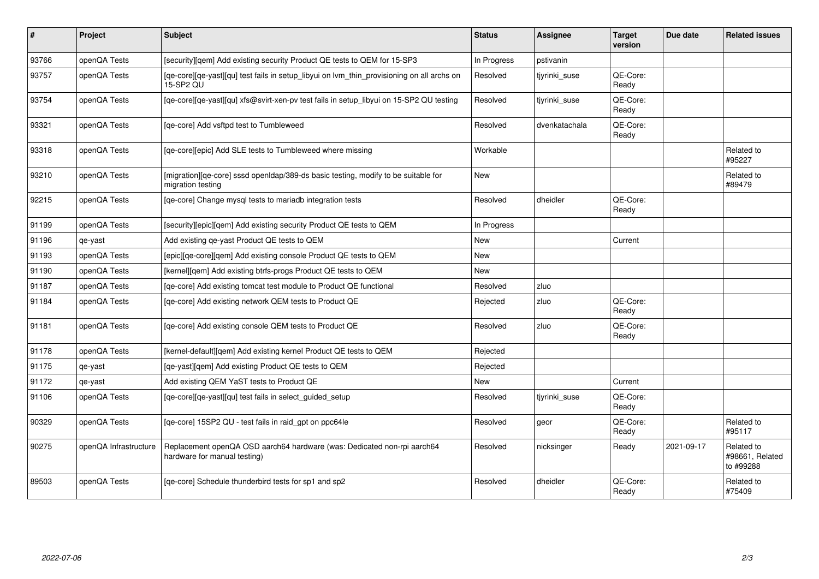| #     | Project               | Subject                                                                                                 | <b>Status</b> | <b>Assignee</b> | <b>Target</b><br>version | Due date   | <b>Related issues</b>                      |
|-------|-----------------------|---------------------------------------------------------------------------------------------------------|---------------|-----------------|--------------------------|------------|--------------------------------------------|
| 93766 | openQA Tests          | [security][qem] Add existing security Product QE tests to QEM for 15-SP3                                | In Progress   | pstivanin       |                          |            |                                            |
| 93757 | openQA Tests          | [qe-core][qe-yast][qu] test fails in setup_libyui on lvm_thin_provisioning on all archs on<br>15-SP2 QU | Resolved      | tjyrinki_suse   | QE-Core:<br>Ready        |            |                                            |
| 93754 | openQA Tests          | [qe-core][qe-yast][qu] xfs@svirt-xen-pv test fails in setup_libyui on 15-SP2 QU testing                 | Resolved      | tjyrinki_suse   | QE-Core:<br>Ready        |            |                                            |
| 93321 | openQA Tests          | [ge-core] Add vsftpd test to Tumbleweed                                                                 | Resolved      | dvenkatachala   | QE-Core:<br>Ready        |            |                                            |
| 93318 | openQA Tests          | [qe-core][epic] Add SLE tests to Tumbleweed where missing                                               | Workable      |                 |                          |            | Related to<br>#95227                       |
| 93210 | openQA Tests          | [migration][qe-core] sssd openIdap/389-ds basic testing, modify to be suitable for<br>migration testing | New           |                 |                          |            | Related to<br>#89479                       |
| 92215 | openQA Tests          | [qe-core] Change mysql tests to mariadb integration tests                                               | Resolved      | dheidler        | QE-Core:<br>Ready        |            |                                            |
| 91199 | openQA Tests          | [security][epic][qem] Add existing security Product QE tests to QEM                                     | In Progress   |                 |                          |            |                                            |
| 91196 | qe-yast               | Add existing qe-yast Product QE tests to QEM                                                            | New           |                 | Current                  |            |                                            |
| 91193 | openQA Tests          | [epic][qe-core][qem] Add existing console Product QE tests to QEM                                       | New           |                 |                          |            |                                            |
| 91190 | openQA Tests          | [kernel][gem] Add existing btrfs-progs Product QE tests to QEM                                          | <b>New</b>    |                 |                          |            |                                            |
| 91187 | openQA Tests          | [ge-core] Add existing tomcat test module to Product QE functional                                      | Resolved      | zluo            |                          |            |                                            |
| 91184 | openQA Tests          | [qe-core] Add existing network QEM tests to Product QE                                                  | Rejected      | zluo            | QE-Core:<br>Ready        |            |                                            |
| 91181 | openQA Tests          | [qe-core] Add existing console QEM tests to Product QE                                                  | Resolved      | zluo            | QE-Core:<br>Ready        |            |                                            |
| 91178 | openQA Tests          | [kernel-default][gem] Add existing kernel Product QE tests to QEM                                       | Rejected      |                 |                          |            |                                            |
| 91175 | qe-yast               | [qe-yast][qem] Add existing Product QE tests to QEM                                                     | Rejected      |                 |                          |            |                                            |
| 91172 | qe-yast               | Add existing QEM YaST tests to Product QE                                                               | New           |                 | Current                  |            |                                            |
| 91106 | openQA Tests          | [qe-core][qe-yast][qu] test fails in select_guided_setup                                                | Resolved      | tiyrinki suse   | QE-Core:<br>Ready        |            |                                            |
| 90329 | openQA Tests          | [qe-core] 15SP2 QU - test fails in raid_gpt on ppc64le                                                  | Resolved      | geor            | QE-Core:<br>Ready        |            | Related to<br>#95117                       |
| 90275 | openQA Infrastructure | Replacement openQA OSD aarch64 hardware (was: Dedicated non-rpi aarch64<br>hardware for manual testing) | Resolved      | nicksinger      | Ready                    | 2021-09-17 | Related to<br>#98661, Related<br>to #99288 |
| 89503 | openQA Tests          | [qe-core] Schedule thunderbird tests for sp1 and sp2                                                    | Resolved      | dheidler        | QE-Core:<br>Ready        |            | Related to<br>#75409                       |